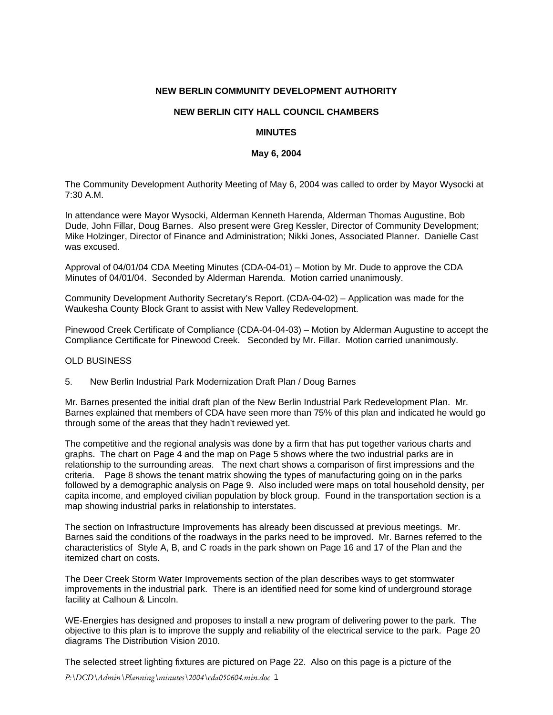### **NEW BERLIN COMMUNITY DEVELOPMENT AUTHORITY**

# **NEW BERLIN CITY HALL COUNCIL CHAMBERS**

### **MINUTES**

### **May 6, 2004**

The Community Development Authority Meeting of May 6, 2004 was called to order by Mayor Wysocki at 7:30 A.M.

In attendance were Mayor Wysocki, Alderman Kenneth Harenda, Alderman Thomas Augustine, Bob Dude, John Fillar, Doug Barnes. Also present were Greg Kessler, Director of Community Development; Mike Holzinger, Director of Finance and Administration; Nikki Jones, Associated Planner. Danielle Cast was excused.

Approval of 04/01/04 CDA Meeting Minutes (CDA-04-01) – Motion by Mr. Dude to approve the CDA Minutes of 04/01/04. Seconded by Alderman Harenda. Motion carried unanimously.

Community Development Authority Secretary's Report. (CDA-04-02) – Application was made for the Waukesha County Block Grant to assist with New Valley Redevelopment.

Pinewood Creek Certificate of Compliance (CDA-04-04-03) – Motion by Alderman Augustine to accept the Compliance Certificate for Pinewood Creek. Seconded by Mr. Fillar. Motion carried unanimously.

#### OLD BUSINESS

5. New Berlin Industrial Park Modernization Draft Plan / Doug Barnes

Mr. Barnes presented the initial draft plan of the New Berlin Industrial Park Redevelopment Plan. Mr. Barnes explained that members of CDA have seen more than 75% of this plan and indicated he would go through some of the areas that they hadn't reviewed yet.

The competitive and the regional analysis was done by a firm that has put together various charts and graphs. The chart on Page 4 and the map on Page 5 shows where the two industrial parks are in relationship to the surrounding areas. The next chart shows a comparison of first impressions and the criteria. Page 8 shows the tenant matrix showing the types of manufacturing going on in the parks followed by a demographic analysis on Page 9. Also included were maps on total household density, per capita income, and employed civilian population by block group. Found in the transportation section is a map showing industrial parks in relationship to interstates.

The section on Infrastructure Improvements has already been discussed at previous meetings. Mr. Barnes said the conditions of the roadways in the parks need to be improved. Mr. Barnes referred to the characteristics of Style A, B, and C roads in the park shown on Page 16 and 17 of the Plan and the itemized chart on costs.

The Deer Creek Storm Water Improvements section of the plan describes ways to get stormwater improvements in the industrial park. There is an identified need for some kind of underground storage facility at Calhoun & Lincoln.

WE-Energies has designed and proposes to install a new program of delivering power to the park. The objective to this plan is to improve the supply and reliability of the electrical service to the park. Page 20 diagrams The Distribution Vision 2010.

The selected street lighting fixtures are pictured on Page 22. Also on this page is a picture of the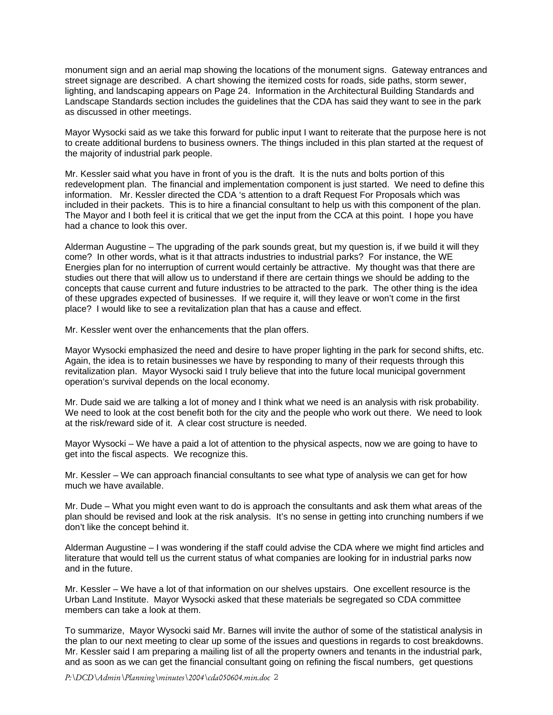monument sign and an aerial map showing the locations of the monument signs. Gateway entrances and street signage are described. A chart showing the itemized costs for roads, side paths, storm sewer, lighting, and landscaping appears on Page 24. Information in the Architectural Building Standards and Landscape Standards section includes the guidelines that the CDA has said they want to see in the park as discussed in other meetings.

Mayor Wysocki said as we take this forward for public input I want to reiterate that the purpose here is not to create additional burdens to business owners. The things included in this plan started at the request of the majority of industrial park people.

Mr. Kessler said what you have in front of you is the draft. It is the nuts and bolts portion of this redevelopment plan. The financial and implementation component is just started. We need to define this information. Mr. Kessler directed the CDA 's attention to a draft Request For Proposals which was included in their packets. This is to hire a financial consultant to help us with this component of the plan. The Mayor and I both feel it is critical that we get the input from the CCA at this point. I hope you have had a chance to look this over.

Alderman Augustine – The upgrading of the park sounds great, but my question is, if we build it will they come? In other words, what is it that attracts industries to industrial parks? For instance, the WE Energies plan for no interruption of current would certainly be attractive. My thought was that there are studies out there that will allow us to understand if there are certain things we should be adding to the concepts that cause current and future industries to be attracted to the park. The other thing is the idea of these upgrades expected of businesses. If we require it, will they leave or won't come in the first place? I would like to see a revitalization plan that has a cause and effect.

Mr. Kessler went over the enhancements that the plan offers.

Mayor Wysocki emphasized the need and desire to have proper lighting in the park for second shifts, etc. Again, the idea is to retain businesses we have by responding to many of their requests through this revitalization plan. Mayor Wysocki said I truly believe that into the future local municipal government operation's survival depends on the local economy.

Mr. Dude said we are talking a lot of money and I think what we need is an analysis with risk probability. We need to look at the cost benefit both for the city and the people who work out there. We need to look at the risk/reward side of it. A clear cost structure is needed.

Mayor Wysocki – We have a paid a lot of attention to the physical aspects, now we are going to have to get into the fiscal aspects. We recognize this.

Mr. Kessler – We can approach financial consultants to see what type of analysis we can get for how much we have available.

Mr. Dude – What you might even want to do is approach the consultants and ask them what areas of the plan should be revised and look at the risk analysis. It's no sense in getting into crunching numbers if we don't like the concept behind it.

Alderman Augustine – I was wondering if the staff could advise the CDA where we might find articles and literature that would tell us the current status of what companies are looking for in industrial parks now and in the future.

Mr. Kessler – We have a lot of that information on our shelves upstairs. One excellent resource is the Urban Land Institute. Mayor Wysocki asked that these materials be segregated so CDA committee members can take a look at them.

To summarize, Mayor Wysocki said Mr. Barnes will invite the author of some of the statistical analysis in the plan to our next meeting to clear up some of the issues and questions in regards to cost breakdowns. Mr. Kessler said I am preparing a mailing list of all the property owners and tenants in the industrial park, and as soon as we can get the financial consultant going on refining the fiscal numbers, get questions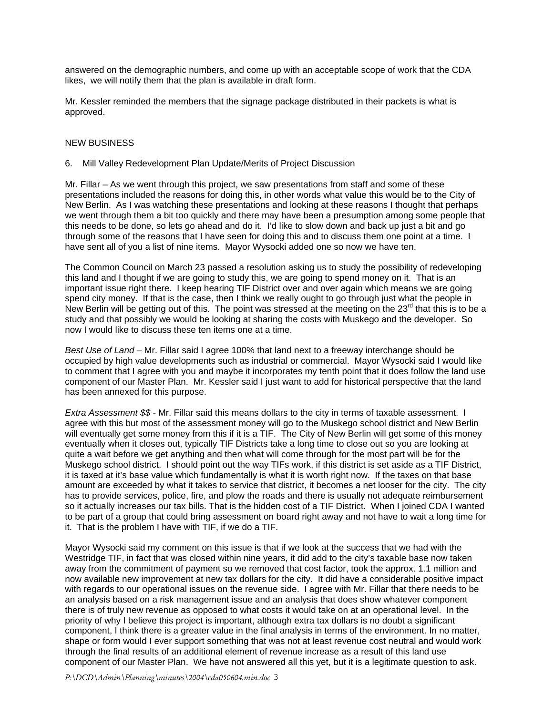answered on the demographic numbers, and come up with an acceptable scope of work that the CDA likes, we will notify them that the plan is available in draft form.

Mr. Kessler reminded the members that the signage package distributed in their packets is what is approved.

# NEW BUSINESS

# 6. Mill Valley Redevelopment Plan Update/Merits of Project Discussion

Mr. Fillar – As we went through this project, we saw presentations from staff and some of these presentations included the reasons for doing this, in other words what value this would be to the City of New Berlin. As I was watching these presentations and looking at these reasons I thought that perhaps we went through them a bit too quickly and there may have been a presumption among some people that this needs to be done, so lets go ahead and do it. I'd like to slow down and back up just a bit and go through some of the reasons that I have seen for doing this and to discuss them one point at a time. I have sent all of you a list of nine items. Mayor Wysocki added one so now we have ten.

The Common Council on March 23 passed a resolution asking us to study the possibility of redeveloping this land and I thought if we are going to study this, we are going to spend money on it. That is an important issue right there. I keep hearing TIF District over and over again which means we are going spend city money. If that is the case, then I think we really ought to go through just what the people in New Berlin will be getting out of this. The point was stressed at the meeting on the  $23<sup>rd</sup>$  that this is to be a study and that possibly we would be looking at sharing the costs with Muskego and the developer. So now I would like to discuss these ten items one at a time.

*Best Use of Land* – Mr. Fillar said I agree 100% that land next to a freeway interchange should be occupied by high value developments such as industrial or commercial. Mayor Wysocki said I would like to comment that I agree with you and maybe it incorporates my tenth point that it does follow the land use component of our Master Plan. Mr. Kessler said I just want to add for historical perspective that the land has been annexed for this purpose.

*Extra Assessment \$\$ -* Mr. Fillar said this means dollars to the city in terms of taxable assessment. I agree with this but most of the assessment money will go to the Muskego school district and New Berlin will eventually get some money from this if it is a TIF. The City of New Berlin will get some of this money eventually when it closes out, typically TIF Districts take a long time to close out so you are looking at quite a wait before we get anything and then what will come through for the most part will be for the Muskego school district. I should point out the way TIFs work, if this district is set aside as a TIF District, it is taxed at it's base value which fundamentally is what it is worth right now. If the taxes on that base amount are exceeded by what it takes to service that district, it becomes a net looser for the city. The city has to provide services, police, fire, and plow the roads and there is usually not adequate reimbursement so it actually increases our tax bills. That is the hidden cost of a TIF District. When I joined CDA I wanted to be part of a group that could bring assessment on board right away and not have to wait a long time for it. That is the problem I have with TIF, if we do a TIF.

Mayor Wysocki said my comment on this issue is that if we look at the success that we had with the Westridge TIF, in fact that was closed within nine years, it did add to the city's taxable base now taken away from the commitment of payment so we removed that cost factor, took the approx. 1.1 million and now available new improvement at new tax dollars for the city. It did have a considerable positive impact with regards to our operational issues on the revenue side. I agree with Mr. Fillar that there needs to be an analysis based on a risk management issue and an analysis that does show whatever component there is of truly new revenue as opposed to what costs it would take on at an operational level. In the priority of why I believe this project is important, although extra tax dollars is no doubt a significant component, I think there is a greater value in the final analysis in terms of the environment. In no matter, shape or form would I ever support something that was not at least revenue cost neutral and would work through the final results of an additional element of revenue increase as a result of this land use component of our Master Plan. We have not answered all this yet, but it is a legitimate question to ask.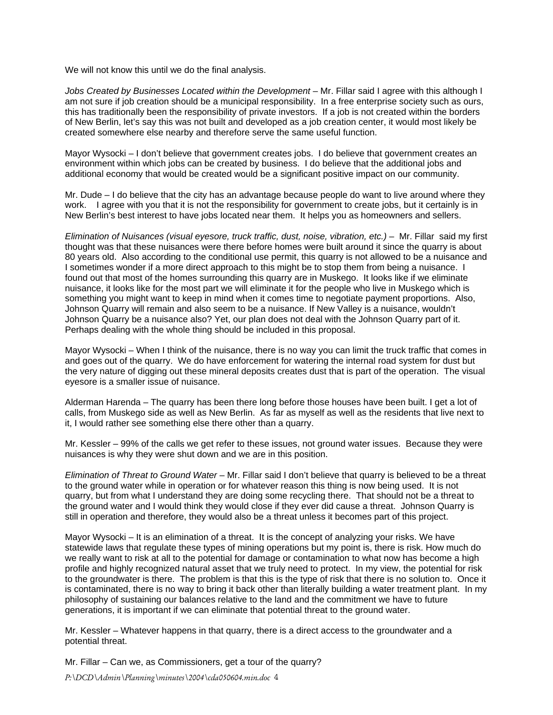We will not know this until we do the final analysis.

*Jobs Created by Businesses Located within the Development* – Mr. Fillar said I agree with this although I am not sure if job creation should be a municipal responsibility. In a free enterprise society such as ours, this has traditionally been the responsibility of private investors. If a job is not created within the borders of New Berlin, let's say this was not built and developed as a job creation center, it would most likely be created somewhere else nearby and therefore serve the same useful function.

Mayor Wysocki – I don't believe that government creates jobs. I do believe that government creates an environment within which jobs can be created by business. I do believe that the additional jobs and additional economy that would be created would be a significant positive impact on our community.

Mr. Dude – I do believe that the city has an advantage because people do want to live around where they work. I agree with you that it is not the responsibility for government to create jobs, but it certainly is in New Berlin's best interest to have jobs located near them. It helps you as homeowners and sellers.

*Elimination of Nuisances (visual eyesore, truck traffic, dust, noise, vibration, etc.)* – Mr. Fillar said my first thought was that these nuisances were there before homes were built around it since the quarry is about 80 years old. Also according to the conditional use permit, this quarry is not allowed to be a nuisance and I sometimes wonder if a more direct approach to this might be to stop them from being a nuisance. I found out that most of the homes surrounding this quarry are in Muskego. It looks like if we eliminate nuisance, it looks like for the most part we will eliminate it for the people who live in Muskego which is something you might want to keep in mind when it comes time to negotiate payment proportions. Also, Johnson Quarry will remain and also seem to be a nuisance. If New Valley is a nuisance, wouldn't Johnson Quarry be a nuisance also? Yet, our plan does not deal with the Johnson Quarry part of it. Perhaps dealing with the whole thing should be included in this proposal.

Mayor Wysocki – When I think of the nuisance, there is no way you can limit the truck traffic that comes in and goes out of the quarry. We do have enforcement for watering the internal road system for dust but the very nature of digging out these mineral deposits creates dust that is part of the operation. The visual eyesore is a smaller issue of nuisance.

Alderman Harenda – The quarry has been there long before those houses have been built. I get a lot of calls, from Muskego side as well as New Berlin. As far as myself as well as the residents that live next to it, I would rather see something else there other than a quarry.

Mr. Kessler – 99% of the calls we get refer to these issues, not ground water issues. Because they were nuisances is why they were shut down and we are in this position.

*Elimination of Threat to Ground Water* – Mr. Fillar said I don't believe that quarry is believed to be a threat to the ground water while in operation or for whatever reason this thing is now being used. It is not quarry, but from what I understand they are doing some recycling there. That should not be a threat to the ground water and I would think they would close if they ever did cause a threat. Johnson Quarry is still in operation and therefore, they would also be a threat unless it becomes part of this project.

Mayor Wysocki – It is an elimination of a threat. It is the concept of analyzing your risks. We have statewide laws that regulate these types of mining operations but my point is, there is risk. How much do we really want to risk at all to the potential for damage or contamination to what now has become a high profile and highly recognized natural asset that we truly need to protect. In my view, the potential for risk to the groundwater is there. The problem is that this is the type of risk that there is no solution to. Once it is contaminated, there is no way to bring it back other than literally building a water treatment plant. In my philosophy of sustaining our balances relative to the land and the commitment we have to future generations, it is important if we can eliminate that potential threat to the ground water.

Mr. Kessler – Whatever happens in that quarry, there is a direct access to the groundwater and a potential threat.

Mr. Fillar – Can we, as Commissioners, get a tour of the quarry?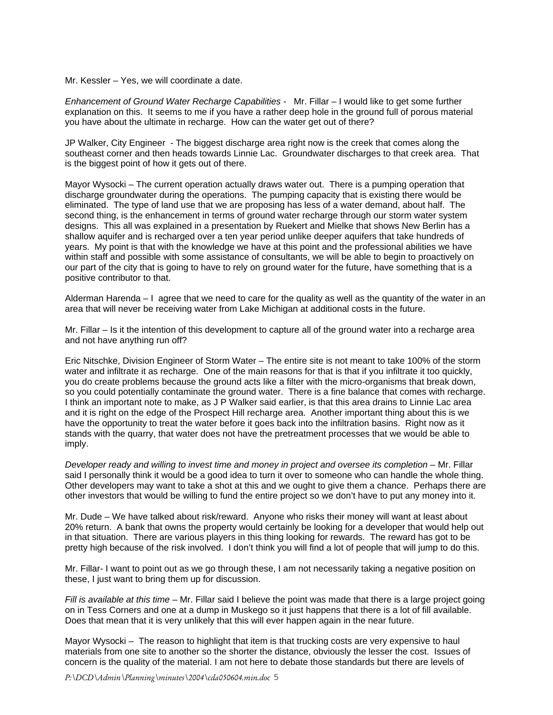Mr. Kessler – Yes, we will coordinate a date.

*Enhancement of Ground Water Recharge Capabilities* - Mr. Fillar – I would like to get some further explanation on this. It seems to me if you have a rather deep hole in the ground full of porous material you have about the ultimate in recharge. How can the water get out of there?

JP Walker, City Engineer - The biggest discharge area right now is the creek that comes along the southeast corner and then heads towards Linnie Lac. Groundwater discharges to that creek area. That is the biggest point of how it gets out of there.

Mayor Wysocki – The current operation actually draws water out. There is a pumping operation that discharge groundwater during the operations. The pumping capacity that is existing there would be eliminated. The type of land use that we are proposing has less of a water demand, about half. The second thing, is the enhancement in terms of ground water recharge through our storm water system designs. This all was explained in a presentation by Ruekert and Mielke that shows New Berlin has a shallow aquifer and is recharged over a ten year period unlike deeper aquifers that take hundreds of years. My point is that with the knowledge we have at this point and the professional abilities we have within staff and possible with some assistance of consultants, we will be able to begin to proactively on our part of the city that is going to have to rely on ground water for the future, have something that is a positive contributor to that.

Alderman Harenda – I agree that we need to care for the quality as well as the quantity of the water in an area that will never be receiving water from Lake Michigan at additional costs in the future.

Mr. Fillar – Is it the intention of this development to capture all of the ground water into a recharge area and not have anything run off?

Eric Nitschke, Division Engineer of Storm Water – The entire site is not meant to take 100% of the storm water and infiltrate it as recharge. One of the main reasons for that is that if you infiltrate it too quickly, you do create problems because the ground acts like a filter with the micro-organisms that break down, so you could potentially contaminate the ground water. There is a fine balance that comes with recharge. I think an important note to make, as J P Walker said earlier, is that this area drains to Linnie Lac area and it is right on the edge of the Prospect Hill recharge area. Another important thing about this is we have the opportunity to treat the water before it goes back into the infiltration basins. Right now as it stands with the quarry, that water does not have the pretreatment processes that we would be able to imply.

*Developer ready and willing to invest time and money in project and oversee its completion –* Mr. Fillar said I personally think it would be a good idea to turn it over to someone who can handle the whole thing. Other developers may want to take a shot at this and we ought to give them a chance. Perhaps there are other investors that would be willing to fund the entire project so we don't have to put any money into it.

Mr. Dude – We have talked about risk/reward. Anyone who risks their money will want at least about 20% return. A bank that owns the property would certainly be looking for a developer that would help out in that situation. There are various players in this thing looking for rewards. The reward has got to be pretty high because of the risk involved. I don't think you will find a lot of people that will jump to do this.

Mr. Fillar- I want to point out as we go through these, I am not necessarily taking a negative position on these, I just want to bring them up for discussion.

*Fill is available at this time* – Mr. Fillar said I believe the point was made that there is a large project going on in Tess Corners and one at a dump in Muskego so it just happens that there is a lot of fill available. Does that mean that it is very unlikely that this will ever happen again in the near future.

Mayor Wysocki – The reason to highlight that item is that trucking costs are very expensive to haul materials from one site to another so the shorter the distance, obviously the lesser the cost. Issues of concern is the quality of the material. I am not here to debate those standards but there are levels of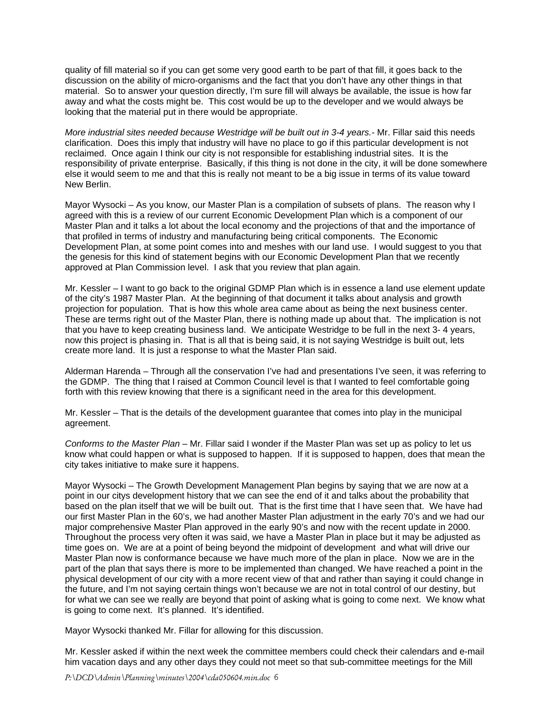quality of fill material so if you can get some very good earth to be part of that fill, it goes back to the discussion on the ability of micro-organisms and the fact that you don't have any other things in that material. So to answer your question directly, I'm sure fill will always be available, the issue is how far away and what the costs might be. This cost would be up to the developer and we would always be looking that the material put in there would be appropriate.

*More industrial sites needed because Westridge will be built out in 3-4 years.-* Mr. Fillar said this needs clarification. Does this imply that industry will have no place to go if this particular development is not reclaimed. Once again I think our city is not responsible for establishing industrial sites. It is the responsibility of private enterprise. Basically, if this thing is not done in the city, it will be done somewhere else it would seem to me and that this is really not meant to be a big issue in terms of its value toward New Berlin.

Mayor Wysocki – As you know, our Master Plan is a compilation of subsets of plans. The reason why I agreed with this is a review of our current Economic Development Plan which is a component of our Master Plan and it talks a lot about the local economy and the projections of that and the importance of that profiled in terms of industry and manufacturing being critical components. The Economic Development Plan, at some point comes into and meshes with our land use. I would suggest to you that the genesis for this kind of statement begins with our Economic Development Plan that we recently approved at Plan Commission level. I ask that you review that plan again.

Mr. Kessler – I want to go back to the original GDMP Plan which is in essence a land use element update of the city's 1987 Master Plan. At the beginning of that document it talks about analysis and growth projection for population. That is how this whole area came about as being the next business center. These are terms right out of the Master Plan, there is nothing made up about that. The implication is not that you have to keep creating business land. We anticipate Westridge to be full in the next 3- 4 years, now this project is phasing in. That is all that is being said, it is not saying Westridge is built out, lets create more land. It is just a response to what the Master Plan said.

Alderman Harenda – Through all the conservation I've had and presentations I've seen, it was referring to the GDMP. The thing that I raised at Common Council level is that I wanted to feel comfortable going forth with this review knowing that there is a significant need in the area for this development.

Mr. Kessler – That is the details of the development guarantee that comes into play in the municipal agreement.

*Conforms to the Master Plan – Mr. Fillar said I wonder if the Master Plan was set up as policy to let us* know what could happen or what is supposed to happen. If it is supposed to happen, does that mean the city takes initiative to make sure it happens.

Mayor Wysocki – The Growth Development Management Plan begins by saying that we are now at a point in our citys development history that we can see the end of it and talks about the probability that based on the plan itself that we will be built out. That is the first time that I have seen that. We have had our first Master Plan in the 60's, we had another Master Plan adjustment in the early 70's and we had our major comprehensive Master Plan approved in the early 90's and now with the recent update in 2000. Throughout the process very often it was said, we have a Master Plan in place but it may be adjusted as time goes on. We are at a point of being beyond the midpoint of development and what will drive our Master Plan now is conformance because we have much more of the plan in place. Now we are in the part of the plan that says there is more to be implemented than changed. We have reached a point in the physical development of our city with a more recent view of that and rather than saying it could change in the future, and I'm not saying certain things won't because we are not in total control of our destiny, but for what we can see we really are beyond that point of asking what is going to come next. We know what is going to come next. It's planned. It's identified.

Mayor Wysocki thanked Mr. Fillar for allowing for this discussion.

Mr. Kessler asked if within the next week the committee members could check their calendars and e-mail him vacation days and any other days they could not meet so that sub-committee meetings for the Mill